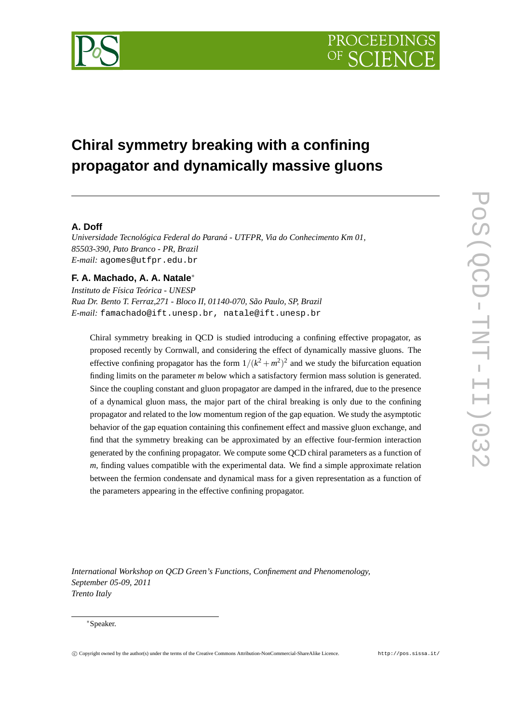

# **Chiral symmetry breaking with a confining propagator and dynamically massive gluons**

# **A. Doff**

*Universidade Tecnológica Federal do Paraná - UTFPR, Via do Conhecimento Km 01, 85503-390, Pato Branco - PR, Brazil E-mail:* agomes@utfpr.edu.br

# **F. A. Machado, A. A. Natale**<sup>∗</sup>

*Instituto de Física Teórica - UNESP Rua Dr. Bento T. Ferraz,271 - Bloco II, 01140-070, São Paulo, SP, Brazil E-mail:* famachado@ift.unesp.br, natale@ift.unesp.br

Chiral symmetry breaking in QCD is studied introducing a confining effective propagator, as proposed recently by Cornwall, and considering the effect of dynamically massive gluons. The effective confining propagator has the form  $1/(k^2 + m^2)^2$  and we study the bifurcation equation finding limits on the parameter *m* below which a satisfactory fermion mass solution is generated. Since the coupling constant and gluon propagator are damped in the infrared, due to the presence of a dynamical gluon mass, the major part of the chiral breaking is only due to the confining propagator and related to the low momentum region of the gap equation. We study the asymptotic behavior of the gap equation containing this confinement effect and massive gluon exchange, and find that the symmetry breaking can be approximated by an effective four-fermion interaction generated by the confining propagator. We compute some QCD chiral parameters as a function of *m*, finding values compatible with the experimental data. We find a simple approximate relation between the fermion condensate and dynamical mass for a given representation as a function of the parameters appearing in the effective confining propagator.

*International Workshop on QCD Green's Functions, Confinement and Phenomenology, September 05-09, 2011 Trento Italy*

#### <sup>∗</sup>Speaker.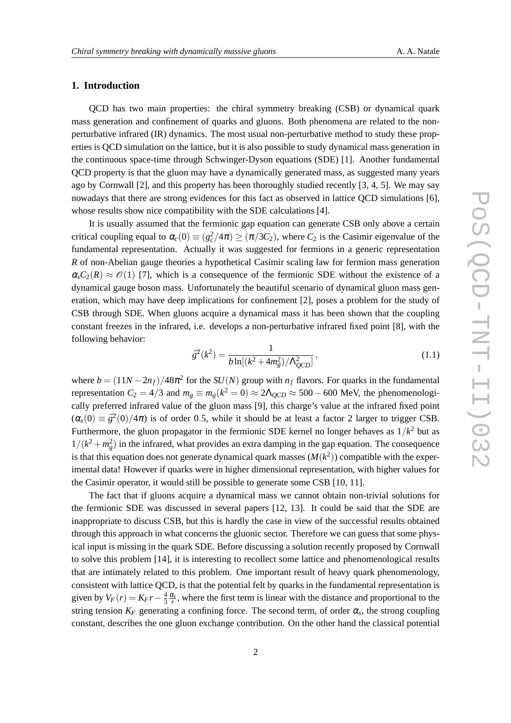# **1. Introduction**

QCD has two main properties: the chiral symmetry breaking (CSB) or dynamical quark mass generation and confinement of quarks and gluons. Both phenomena are related to the nonperturbative infrared (IR) dynamics. The most usual non-perturbative method to study these properties is QCD simulation on the lattice, but it is also possible to study dynamical mass generation in the continuous space-time through Schwinger-Dyson equations (SDE) [1]. Another fundamental QCD property is that the gluon may have a dynamically generated mass, as suggested many years ago by Cornwall [2], and this property has been thoroughly studied recently [3, 4, 5]. We may say nowadays that there are strong evidences for this fact as observed in lattice QCD simulations [6], whose results show nice compatibility with the SDE calculations [4].

It is usually assumed that the fermionic gap equation can generate CSB only above a certain critical coupling equal to  $\alpha_c(0) \equiv (g_c^2/4\pi) \ge (\pi/3C_2)$ , where  $C_2$  is the Casimir eigenvalue of the fundamental representation. Actually it was suggested for fermions in a generic representation *R* of non-Abelian gauge theories a hypothetical Casimir scaling law for fermion mass generation  $\alpha_{\rm s}C_2(R) \approx \mathcal{O}(1)$  [7], which is a consequence of the fermionic SDE without the existence of a dynamical gauge boson mass. Unfortunately the beautiful scenario of dynamical gluon mass generation, which may have deep implications for confinement [2], poses a problem for the study of CSB through SDE. When gluons acquire a dynamical mass it has been shown that the coupling constant freezes in the infrared, i.e. develops a non-perturbative infrared fixed point [8], with the following behavior:

$$
\bar{g}^2(k^2) = \frac{1}{b \ln[(k^2 + 4m_g^2)/\Lambda_{QCD}^2]},
$$
\n(1.1)

where  $b = (11N - 2n_f)/48\pi^2$  for the  $SU(N)$  group with  $n_f$  flavors. For quarks in the fundamental representation  $C_2 = 4/3$  and  $m_g \equiv m_g(k^2 = 0) \approx 2\Lambda_{QCD} \approx 500 - 600$  MeV, the phenomenologically preferred infrared value of the gluon mass [9], this charge's value at the infrared fixed point  $(\alpha_s(0) \equiv \bar{g}^2(0)/4\pi)$  is of order 0.5, while it should be at least a factor 2 larger to trigger CSB. Furthermore, the gluon propagator in the fermionic SDE kernel no longer behaves as  $1/k<sup>2</sup>$  but as  $1/(k^2 + m_g^2)$  in the infrared, what provides an extra damping in the gap equation. The consequence is that this equation does not generate dynamical quark masses  $(M(k^2))$  compatible with the experimental data! However if quarks were in higher dimensional representation, with higher values for the Casimir operator, it would still be possible to generate some CSB [10, 11].

The fact that if gluons acquire a dynamical mass we cannot obtain non-trivial solutions for the fermionic SDE was discussed in several papers [12, 13]. It could be said that the SDE are inappropriate to discuss CSB, but this is hardly the case in view of the successful results obtained through this approach in what concerns the gluonic sector. Therefore we can guess that some physical input is missing in the quark SDE. Before discussing a solution recently proposed by Cornwall to solve this problem [14], it is interesting to recollect some lattice and phenomenological results that are intimately related to this problem. One important result of heavy quark phenomenology, consistent with lattice QCD, is that the potential felt by quarks in the fundamental representation is given by  $V_F(r) = K_F r - \frac{4}{3}$  $\frac{4}{3} \frac{\alpha_s}{r}$ , where the first term is linear with the distance and proportional to the string tension  $K_F$  generating a confining force. The second term, of order  $\alpha_s$ , the strong coupling constant, describes the one gluon exchange contribution. On the other hand the classical potential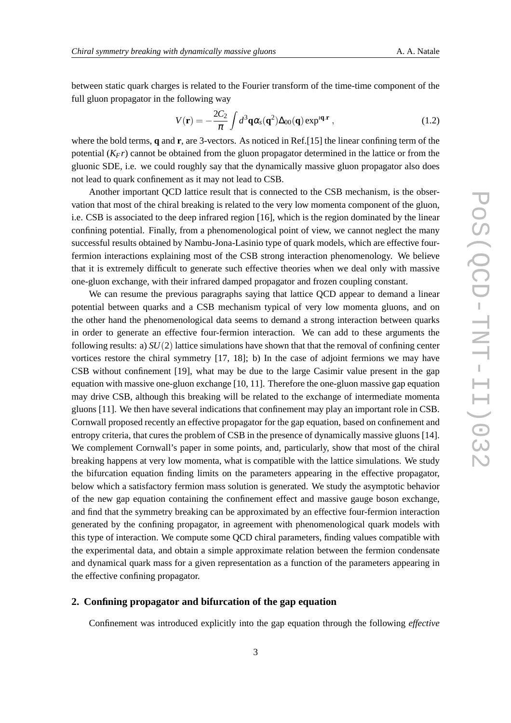between static quark charges is related to the Fourier transform of the time-time component of the full gluon propagator in the following way

$$
V(\mathbf{r}) = -\frac{2C_2}{\pi} \int d^3\mathbf{q} \alpha_s(\mathbf{q}^2) \Delta_{00}(\mathbf{q}) \exp^{i\mathbf{q}.\mathbf{r}} , \qquad (1.2)
$$

where the bold terms, **q** and **r**, are 3-vectors. As noticed in Ref.[15] the linear confining term of the potential (*KFr*) cannot be obtained from the gluon propagator determined in the lattice or from the gluonic SDE, i.e. we could roughly say that the dynamically massive gluon propagator also does not lead to quark confinement as it may not lead to CSB.

Another important QCD lattice result that is connected to the CSB mechanism, is the observation that most of the chiral breaking is related to the very low momenta component of the gluon, i.e. CSB is associated to the deep infrared region [16], which is the region dominated by the linear confining potential. Finally, from a phenomenological point of view, we cannot neglect the many successful results obtained by Nambu-Jona-Lasinio type of quark models, which are effective fourfermion interactions explaining most of the CSB strong interaction phenomenology. We believe that it is extremely difficult to generate such effective theories when we deal only with massive one-gluon exchange, with their infrared damped propagator and frozen coupling constant.

We can resume the previous paragraphs saying that lattice QCD appear to demand a linear potential between quarks and a CSB mechanism typical of very low momenta gluons, and on the other hand the phenomenological data seems to demand a strong interaction between quarks in order to generate an effective four-fermion interaction. We can add to these arguments the following results: a) *SU*(2) lattice simulations have shown that that the removal of confining center vortices restore the chiral symmetry [17, 18]; b) In the case of adjoint fermions we may have CSB without confinement [19], what may be due to the large Casimir value present in the gap equation with massive one-gluon exchange [10, 11]. Therefore the one-gluon massive gap equation may drive CSB, although this breaking will be related to the exchange of intermediate momenta gluons [11]. We then have several indications that confinement may play an important role in CSB. Cornwall proposed recently an effective propagator for the gap equation, based on confinement and entropy criteria, that cures the problem of CSB in the presence of dynamically massive gluons [14]. We complement Cornwall's paper in some points, and, particularly, show that most of the chiral breaking happens at very low momenta, what is compatible with the lattice simulations. We study the bifurcation equation finding limits on the parameters appearing in the effective propagator, below which a satisfactory fermion mass solution is generated. We study the asymptotic behavior of the new gap equation containing the confinement effect and massive gauge boson exchange, and find that the symmetry breaking can be approximated by an effective four-fermion interaction generated by the confining propagator, in agreement with phenomenological quark models with this type of interaction. We compute some QCD chiral parameters, finding values compatible with the experimental data, and obtain a simple approximate relation between the fermion condensate and dynamical quark mass for a given representation as a function of the parameters appearing in the effective confining propagator.

## **2. Confining propagator and bifurcation of the gap equation**

Confinement was introduced explicitly into the gap equation through the following *effective*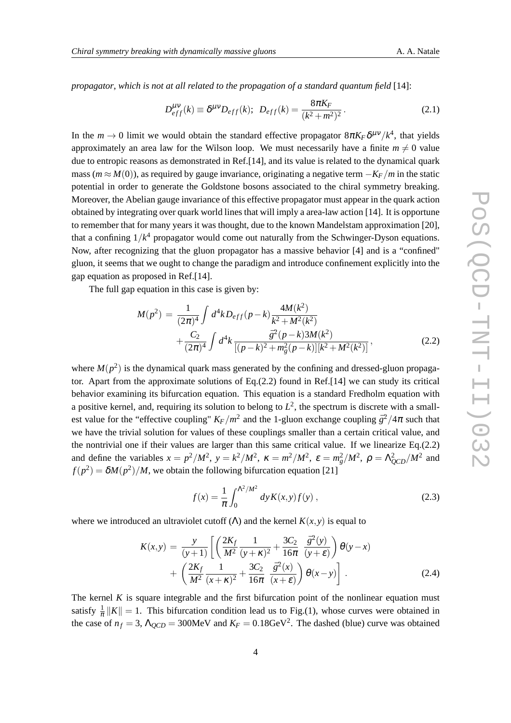*propagator*, *which is not at all related to the propagation of a standard quantum field* [14]:

$$
D_{eff}^{\mu\nu}(k) \equiv \delta^{\mu\nu} D_{eff}(k); \ \ D_{eff}(k) = \frac{8\pi K_F}{(k^2 + m^2)^2} \,. \tag{2.1}
$$

In the  $m \to 0$  limit we would obtain the standard effective propagator  $8\pi K_F \delta^{\mu\nu}/k^4$ , that yields approximately an area law for the Wilson loop. We must necessarily have a finite  $m \neq 0$  value due to entropic reasons as demonstrated in Ref.[14], and its value is related to the dynamical quark mass ( $m ≈ M(0)$ ), as required by gauge invariance, originating a negative term  $-K_F/m$  in the static potential in order to generate the Goldstone bosons associated to the chiral symmetry breaking. Moreover, the Abelian gauge invariance of this effective propagator must appear in the quark action obtained by integrating over quark world lines that will imply a area-law action [14]. It is opportune to remember that for many years it was thought, due to the known Mandelstam approximation [20], that a confining 1/*k* <sup>4</sup> propagator would come out naturally from the Schwinger-Dyson equations. Now, after recognizing that the gluon propagator has a massive behavior [4] and is a "confined" gluon, it seems that we ought to change the paradigm and introduce confinement explicitly into the gap equation as proposed in Ref.[14].

The full gap equation in this case is given by:

$$
M(p^2) = \frac{1}{(2\pi)^4} \int d^4k D_{eff}(p-k) \frac{4M(k^2)}{k^2 + M^2(k^2)} + \frac{C_2}{(2\pi)^4} \int d^4k \frac{\bar{g}^2(p-k)3M(k^2)}{[(p-k)^2 + m_g^2(p-k)][k^2 + M^2(k^2)]},
$$
(2.2)

where  $M(p^2)$  is the dynamical quark mass generated by the confining and dressed-gluon propagator. Apart from the approximate solutions of  $Eq.(2.2)$  found in Ref. [14] we can study its critical behavior examining its bifurcation equation. This equation is a standard Fredholm equation with a positive kernel, and, requiring its solution to belong to  $L^2$ , the spectrum is discrete with a smallest value for the "effective coupling"  $K_F/m^2$  and the 1-gluon exchange coupling  $\bar{g}^2/4\pi$  such that we have the trivial solution for values of these couplings smaller than a certain critical value, and the nontrivial one if their values are larger than this same critical value. If we linearize Eq.(2.2) and define the variables  $x = p^2/M^2$ ,  $y = k^2/M^2$ ,  $\kappa = m^2/M^2$ ,  $\varepsilon = m_g^2/M^2$ ,  $\rho = \Lambda_{QCD}^2/M^2$  and  $f(p^2) = \delta M(p^2)/M$ , we obtain the following bifurcation equation [21]

$$
f(x) = \frac{1}{\pi} \int_0^{\Lambda^2/M^2} dy K(x, y) f(y) , \qquad (2.3)
$$

where we introduced an ultraviolet cutoff  $(\Lambda)$  and the kernel  $K(x, y)$  is equal to

$$
K(x,y) = \frac{y}{(y+1)} \left[ \left( \frac{2K_f}{M^2} \frac{1}{(y+\kappa)^2} + \frac{3C_2}{16\pi} \frac{\bar{g}^2(y)}{(y+\epsilon)} \right) \theta(y-x) + \left( \frac{2K_f}{M^2} \frac{1}{(x+\kappa)^2} + \frac{3C_2}{16\pi} \frac{\bar{g}^2(x)}{(x+\epsilon)} \right) \theta(x-y) \right].
$$
 (2.4)

The kernel  $K$  is square integrable and the first bifurcation point of the nonlinear equation must satisfy  $\frac{1}{\pi} ||K|| = 1$ . This bifurcation condition lead us to Fig.(1), whose curves were obtained in the case of  $n_f = 3$ ,  $\Lambda_{QCD} = 300$ MeV and  $K_F = 0.18$ GeV<sup>2</sup>. The dashed (blue) curve was obtained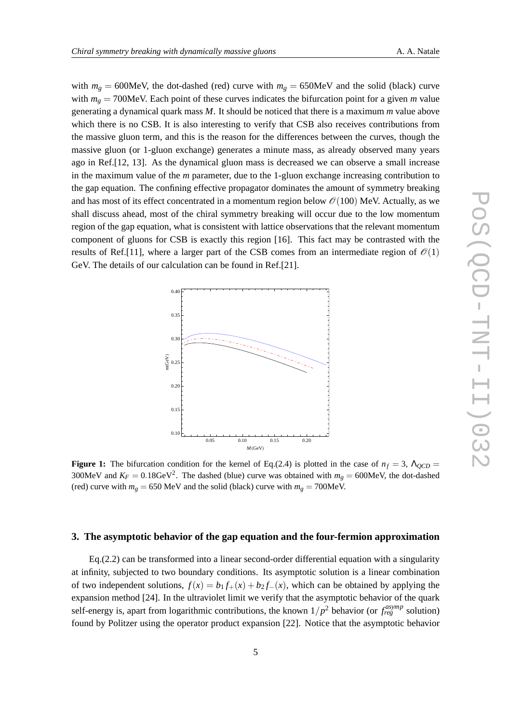with  $m<sub>g</sub> = 600$ MeV, the dot-dashed (red) curve with  $m<sub>g</sub> = 650$ MeV and the solid (black) curve with  $m_g = 700$ MeV. Each point of these curves indicates the bifurcation point for a given *m* value generating a dynamical quark mass *M*. It should be noticed that there is a maximum *m* value above which there is no CSB. It is also interesting to verify that CSB also receives contributions from the massive gluon term, and this is the reason for the differences between the curves, though the massive gluon (or 1-gluon exchange) generates a minute mass, as already observed many years ago in Ref.[12, 13]. As the dynamical gluon mass is decreased we can observe a small increase in the maximum value of the *m* parameter, due to the 1-gluon exchange increasing contribution to the gap equation. The confining effective propagator dominates the amount of symmetry breaking and has most of its effect concentrated in a momentum region below  $\mathcal{O}(100)$  MeV. Actually, as we shall discuss ahead, most of the chiral symmetry breaking will occur due to the low momentum region of the gap equation, what is consistent with lattice observations that the relevant momentum component of gluons for CSB is exactly this region [16]. This fact may be contrasted with the results of Ref.[11], where a larger part of the CSB comes from an intermediate region of  $\mathcal{O}(1)$ GeV. The details of our calculation can be found in Ref.[21].



**Figure 1:** The bifurcation condition for the kernel of Eq.(2.4) is plotted in the case of  $n_f = 3$ ,  $\Lambda_{OCD} =$ 300MeV and  $K_F = 0.18$ GeV<sup>2</sup>. The dashed (blue) curve was obtained with  $m_g = 600$ MeV, the dot-dashed (red) curve with  $m_g = 650$  MeV and the solid (black) curve with  $m_g = 700$ MeV.

# **3. The asymptotic behavior of the gap equation and the four-fermion approximation**

Eq.(2.2) can be transformed into a linear second-order differential equation with a singularity at infinity, subjected to two boundary conditions. Its asymptotic solution is a linear combination of two independent solutions,  $f(x) = b_1 f_+(x) + b_2 f_-(x)$ , which can be obtained by applying the expansion method [24]. In the ultraviolet limit we verify that the asymptotic behavior of the quark self-energy is, apart from logarithmic contributions, the known  $1/p^2$  behavior (or  $f_{reg}^{asymp}$  solution) found by Politzer using the operator product expansion [22]. Notice that the asymptotic behavior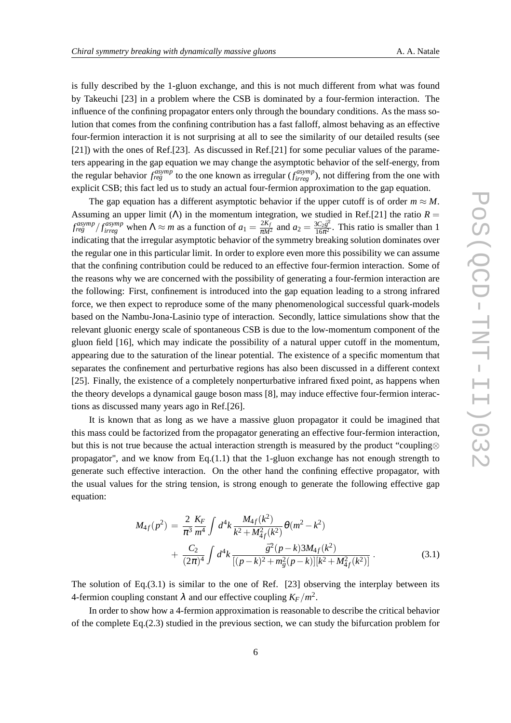is fully described by the 1-gluon exchange, and this is not much different from what was found by Takeuchi [23] in a problem where the CSB is dominated by a four-fermion interaction. The influence of the confining propagator enters only through the boundary conditions. As the mass solution that comes from the confining contribution has a fast falloff, almost behaving as an effective four-fermion interaction it is not surprising at all to see the similarity of our detailed results (see [21]) with the ones of Ref.[23]. As discussed in Ref.[21] for some peculiar values of the parameters appearing in the gap equation we may change the asymptotic behavior of the self-energy, from the regular behavior  $f_{reg}^{asymp}$  to the one known as irregular  $(f_{irreg}^{asymp})$ , not differing from the one with explicit CSB; this fact led us to study an actual four-fermion approximation to the gap equation.

The gap equation has a different asymptotic behavior if the upper cutoff is of order  $m \approx M$ . Assuming an upper limit ( $\Lambda$ ) in the momentum integration, we studied in Ref.[21] the ratio  $R =$  $f_{reg}^{asymp}$  /  $f_{irreg}^{asymp}$  when  $\Lambda \approx m$  as a function of  $a_1 = \frac{2K_f}{\pi M^2}$  and  $a_2 = \frac{3C_2\bar{g}^2}{16\pi^2}$  $\frac{3C_2g^2}{16\pi^2}$ . This ratio is smaller than 1 indicating that the irregular asymptotic behavior of the symmetry breaking solution dominates over the regular one in this particular limit. In order to explore even more this possibility we can assume that the confining contribution could be reduced to an effective four-fermion interaction. Some of the reasons why we are concerned with the possibility of generating a four-fermion interaction are the following: First, confinement is introduced into the gap equation leading to a strong infrared force, we then expect to reproduce some of the many phenomenological successful quark-models based on the Nambu-Jona-Lasinio type of interaction. Secondly, lattice simulations show that the relevant gluonic energy scale of spontaneous CSB is due to the low-momentum component of the gluon field [16], which may indicate the possibility of a natural upper cutoff in the momentum, appearing due to the saturation of the linear potential. The existence of a specific momentum that separates the confinement and perturbative regions has also been discussed in a different context [25]. Finally, the existence of a completely nonperturbative infrared fixed point, as happens when the theory develops a dynamical gauge boson mass [8], may induce effective four-fermion interactions as discussed many years ago in Ref.[26].

It is known that as long as we have a massive gluon propagator it could be imagined that this mass could be factorized from the propagator generating an effective four-fermion interaction, but this is not true because the actual interaction strength is measured by the product "coupling⊗ propagator", and we know from Eq. $(1.1)$  that the 1-gluon exchange has not enough strength to generate such effective interaction. On the other hand the confining effective propagator, with the usual values for the string tension, is strong enough to generate the following effective gap equation:

$$
M_{4f}(p^{2}) = \frac{2}{\pi^{3}} \frac{K_{F}}{m^{4}} \int d^{4}k \frac{M_{4f}(k^{2})}{k^{2} + M_{4f}^{2}(k^{2})} \theta(m^{2} - k^{2})
$$
  
+ 
$$
\frac{C_{2}}{(2\pi)^{4}} \int d^{4}k \frac{\bar{g}^{2}(p - k)3M_{4f}(k^{2})}{[(p - k)^{2} + m_{g}^{2}(p - k)][k^{2} + M_{4f}^{2}(k^{2})]}.
$$
(3.1)

The solution of Eq.(3.1) is similar to the one of Ref. [23] observing the interplay between its 4-fermion coupling constant  $\lambda$  and our effective coupling  $K_F/m^2$ .

In order to show how a 4-fermion approximation is reasonable to describe the critical behavior of the complete Eq.(2.3) studied in the previous section, we can study the bifurcation problem for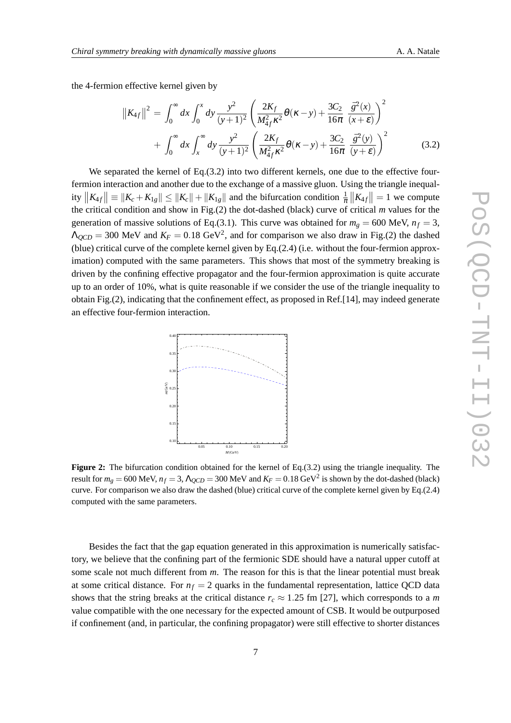the 4-fermion effective kernel given by

$$
||K_{4f}||^{2} = \int_{0}^{\infty} dx \int_{0}^{x} dy \frac{y^{2}}{(y+1)^{2}} \left( \frac{2K_{f}}{M_{4f}^{2} \kappa^{2}} \theta(\kappa - y) + \frac{3C_{2}}{16\pi} \frac{\bar{g}^{2}(x)}{(x+\epsilon)} \right)^{2} + \int_{0}^{\infty} dx \int_{x}^{\infty} dy \frac{y^{2}}{(y+1)^{2}} \left( \frac{2K_{f}}{M_{4f}^{2} \kappa^{2}} \theta(\kappa - y) + \frac{3C_{2}}{16\pi} \frac{\bar{g}^{2}(y)}{(y+\epsilon)} \right)^{2}
$$
(3.2)

We separated the kernel of Eq. (3.2) into two different kernels, one due to the effective fourfermion interaction and another due to the exchange of a massive gluon. Using the triangle inequality  $||K_{4f}|| \equiv ||K_c + K_{1g}|| \le ||K_c|| + ||K_{1g}||$  and the bifurcation condition  $\frac{1}{\pi}||K_{4f}|| = 1$  we compute the critical condition and show in Fig.(2) the dot-dashed (black) curve of critical *m* values for the generation of massive solutions of Eq.(3.1). This curve was obtained for  $m_g = 600$  MeV,  $n_f = 3$ ,  $\Lambda_{QCD} = 300$  MeV and  $K_F = 0.18$  GeV<sup>2</sup>, and for comparison we also draw in Fig.(2) the dashed (blue) critical curve of the complete kernel given by Eq.(2.4) (i.e. without the four-fermion approximation) computed with the same parameters. This shows that most of the symmetry breaking is driven by the confining effective propagator and the four-fermion approximation is quite accurate up to an order of 10%, what is quite reasonable if we consider the use of the triangle inequality to obtain Fig.(2), indicating that the confinement effect, as proposed in Ref.[14], may indeed generate an effective four-fermion interaction.



**Figure 2:** The bifurcation condition obtained for the kernel of Eq.(3.2) using the triangle inequality. The result for  $m_g = 600$  MeV,  $n_f = 3$ ,  $\Lambda_{QCD} = 300$  MeV and  $K_F = 0.18$  GeV<sup>2</sup> is shown by the dot-dashed (black) curve. For comparison we also draw the dashed (blue) critical curve of the complete kernel given by Eq.(2.4) computed with the same parameters.

Besides the fact that the gap equation generated in this approximation is numerically satisfactory, we believe that the confining part of the fermionic SDE should have a natural upper cutoff at some scale not much different from *m*. The reason for this is that the linear potential must break at some critical distance. For  $n_f = 2$  quarks in the fundamental representation, lattice QCD data shows that the string breaks at the critical distance  $r_c \approx 1.25$  fm [27], which corresponds to a *m* value compatible with the one necessary for the expected amount of CSB. It would be outpurposed if confinement (and, in particular, the confining propagator) were still effective to shorter distances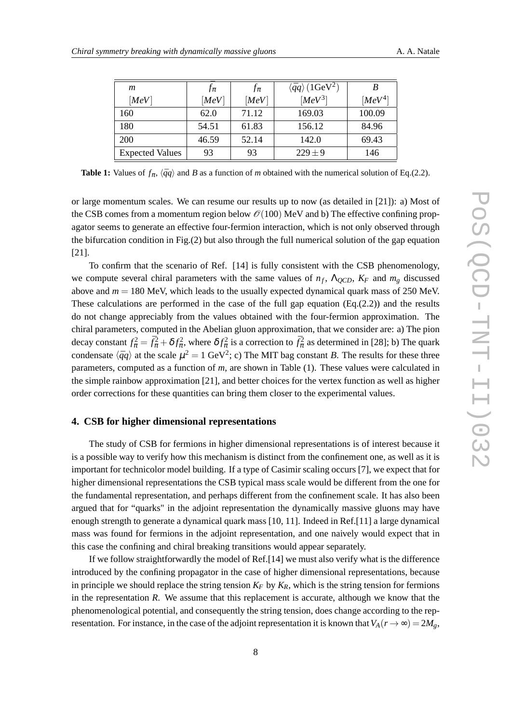| m                      | $J_{\pi}$ | $f_{\pi}$ | $\langle \bar{q}q \rangle$ (1GeV <sup>2</sup> ) | B         |
|------------------------|-----------|-----------|-------------------------------------------------|-----------|
| [MeV]                  | [MeV]     | [MeV]     | $[MeV^3]$                                       | $[MeV^4]$ |
| 160                    | 62.0      | 71.12     | 169.03                                          | 100.09    |
| 180                    | 54.51     | 61.83     | 156.12                                          | 84.96     |
| <b>200</b>             | 46.59     | 52.14     | 142.0                                           | 69.43     |
| <b>Expected Values</b> | 93        | 93        | $229 \pm 9$                                     | 146       |

**Table 1:** Values of  $f_{\pi}$ ,  $\langle \bar{q}q \rangle$  and B as a function of *m* obtained with the numerical solution of Eq.(2.2).

or large momentum scales. We can resume our results up to now (as detailed in [21]): a) Most of the CSB comes from a momentum region below  $\mathcal{O}(100)$  MeV and b) The effective confining propagator seems to generate an effective four-fermion interaction, which is not only observed through the bifurcation condition in Fig.(2) but also through the full numerical solution of the gap equation [21].

To confirm that the scenario of Ref. [14] is fully consistent with the CSB phenomenology, we compute several chiral parameters with the same values of  $n_f$ ,  $\Lambda_{QCD}$ ,  $K_F$  and  $m_g$  discussed above and  $m = 180$  MeV, which leads to the usually expected dynamical quark mass of 250 MeV. These calculations are performed in the case of the full gap equation  $(Eq.(2.2))$  and the results do not change appreciably from the values obtained with the four-fermion approximation. The chiral parameters, computed in the Abelian gluon approximation, that we consider are: a) The pion decay constant  $f_{\pi}^2 = \bar{f}_{\pi}^2 + \delta f_{\pi}^2$ , where  $\delta f_{\pi}^2$  is a correction to  $\bar{f}_{\pi}^2$  as determined in [28]; b) The quark condensate  $\langle \bar{q}q \rangle$  at the scale  $\mu^2 = 1$  GeV<sup>2</sup>; c) The MIT bag constant B. The results for these three parameters, computed as a function of *m*, are shown in Table (1). These values were calculated in the simple rainbow approximation [21], and better choices for the vertex function as well as higher order corrections for these quantities can bring them closer to the experimental values.

### **4. CSB for higher dimensional representations**

The study of CSB for fermions in higher dimensional representations is of interest because it is a possible way to verify how this mechanism is distinct from the confinement one, as well as it is important for technicolor model building. If a type of Casimir scaling occurs [7], we expect that for higher dimensional representations the CSB typical mass scale would be different from the one for the fundamental representation, and perhaps different from the confinement scale. It has also been argued that for "quarks" in the adjoint representation the dynamically massive gluons may have enough strength to generate a dynamical quark mass [10, 11]. Indeed in Ref.[11] a large dynamical mass was found for fermions in the adjoint representation, and one naively would expect that in this case the confining and chiral breaking transitions would appear separately.

If we follow straightforwardly the model of Ref.[14] we must also verify what is the difference introduced by the confining propagator in the case of higher dimensional representations, because in principle we should replace the string tension  $K_F$  by  $K_R$ , which is the string tension for fermions in the representation *R*. We assume that this replacement is accurate, although we know that the phenomenological potential, and consequently the string tension, does change according to the representation. For instance, in the case of the adjoint representation it is known that  $V_A(r \to \infty) = 2M_g$ ,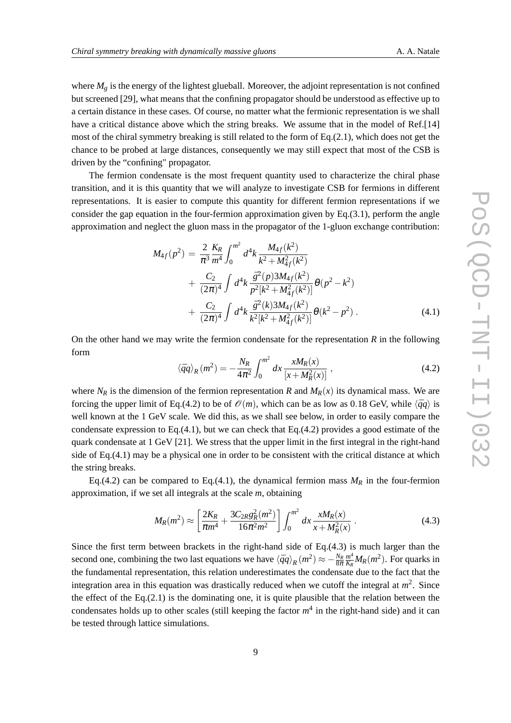where  $M_g$  is the energy of the lightest glueball. Moreover, the adjoint representation is not confined but screened [29], what means that the confining propagator should be understood as effective up to a certain distance in these cases. Of course, no matter what the fermionic representation is we shall have a critical distance above which the string breaks. We assume that in the model of Ref.[14] most of the chiral symmetry breaking is still related to the form of Eq.(2.1), which does not get the chance to be probed at large distances, consequently we may still expect that most of the CSB is driven by the "confining" propagator.

The fermion condensate is the most frequent quantity used to characterize the chiral phase transition, and it is this quantity that we will analyze to investigate CSB for fermions in different representations. It is easier to compute this quantity for different fermion representations if we consider the gap equation in the four-fermion approximation given by  $Eq.(3.1)$ , perform the angle approximation and neglect the gluon mass in the propagator of the 1-gluon exchange contribution:

$$
M_{4f}(p^{2}) = \frac{2}{\pi^{3}} \frac{K_{R}}{m^{4}} \int_{0}^{m^{2}} d^{4}k \frac{M_{4f}(k^{2})}{k^{2} + M_{4f}^{2}(k^{2})} + \frac{C_{2}}{(2\pi)^{4}} \int d^{4}k \frac{\bar{g}^{2}(p)3M_{4f}(k^{2})}{p^{2}[k^{2} + M_{4f}^{2}(k^{2})]} \theta(p^{2} - k^{2}) + \frac{C_{2}}{(2\pi)^{4}} \int d^{4}k \frac{\bar{g}^{2}(k)3M_{4f}(k^{2})}{k^{2}[k^{2} + M_{4f}^{2}(k^{2})]} \theta(k^{2} - p^{2}).
$$
 (4.1)

On the other hand we may write the fermion condensate for the representation *R* in the following form

$$
\langle \bar{q}q \rangle_R(m^2) = -\frac{N_R}{4\pi^2} \int_0^{m^2} dx \frac{xM_R(x)}{[x + M_R^2(x)]},
$$
\n(4.2)

where  $N_R$  is the dimension of the fermion representation *R* and  $M_R(x)$  its dynamical mass. We are forcing the upper limit of Eq.(4.2) to be of  $\mathcal{O}(m)$ , which can be as low as 0.18 GeV, while  $\langle \bar{q}q \rangle$  is well known at the 1 GeV scale. We did this, as we shall see below, in order to easily compare the condensate expression to Eq.(4.1), but we can check that Eq.(4.2) provides a good estimate of the quark condensate at 1 GeV [21]. We stress that the upper limit in the first integral in the right-hand side of Eq.(4.1) may be a physical one in order to be consistent with the critical distance at which the string breaks.

Eq.(4.2) can be compared to Eq.(4.1), the dynamical fermion mass  $M_R$  in the four-fermion approximation, if we set all integrals at the scale *m*, obtaining

$$
M_R(m^2) \approx \left[\frac{2K_R}{\pi m^4} + \frac{3C_{2R}g_R^2(m^2)}{16\pi^2 m^2}\right] \int_0^{m^2} dx \frac{xM_R(x)}{x + M_R^2(x)}.
$$
 (4.3)

Since the first term between brackets in the right-hand side of Eq.(4.3) is much larger than the second one, combining the two last equations we have  $\langle \bar{q}q \rangle_R(m^2) \approx -\frac{N_R}{8\pi}$ *m* 4  $\frac{m^4}{K_R} M_R(m^2)$ . For quarks in the fundamental representation, this relation underestimates the condensate due to the fact that the integration area in this equation was drastically reduced when we cutoff the integral at *m* 2 . Since the effect of the Eq.(2.1) is the dominating one, it is quite plausible that the relation between the condensates holds up to other scales (still keeping the factor  $m<sup>4</sup>$  in the right-hand side) and it can be tested through lattice simulations.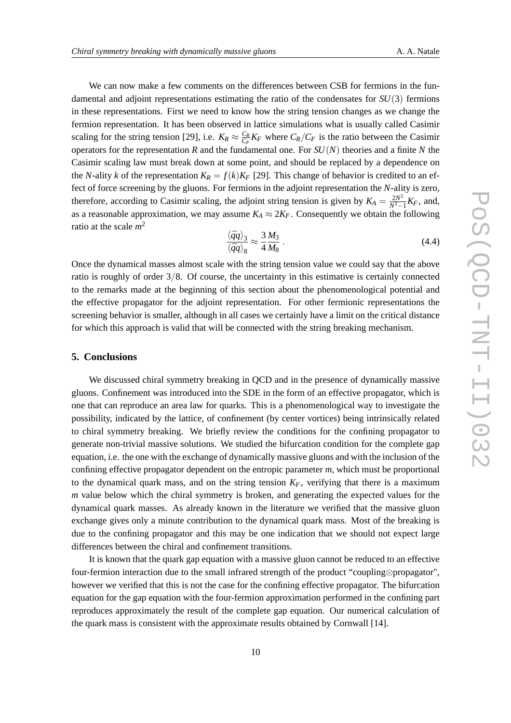We can now make a few comments on the differences between CSB for fermions in the fundamental and adjoint representations estimating the ratio of the condensates for *SU*(3) fermions in these representations. First we need to know how the string tension changes as we change the fermion representation. It has been observed in lattice simulations what is usually called Casimir scaling for the string tension [29], i.e.  $K_R \approx \frac{C_R}{C_R}$  $\frac{C_R}{C_F}K_F$  where  $C_R/C_F$  is the ratio between the Casimir operators for the representation *R* and the fundamental one. For *SU*(*N*) theories and a finite *N* the Casimir scaling law must break down at some point, and should be replaced by a dependence on the *N*-ality *k* of the representation  $K_R = f(k)K_F$  [29]. This change of behavior is credited to an effect of force screening by the gluons. For fermions in the adjoint representation the *N*-ality is zero, therefore, according to Casimir scaling, the adjoint string tension is given by  $K_A = \frac{2N^2}{N^2}$  $\frac{2N^2}{N^2-1}K_F$ , and, as a reasonable approximation, we may assume  $K_A \approx 2K_F$ . Consequently we obtain the following ratio at the scale *m* 2

$$
\frac{\langle \bar{q}q \rangle_3}{\langle \bar{q}q \rangle_8} \approx \frac{3}{4} \frac{M_3}{M_8} \,. \tag{4.4}
$$

Once the dynamical masses almost scale with the string tension value we could say that the above ratio is roughly of order 3/8. Of course, the uncertainty in this estimative is certainly connected to the remarks made at the beginning of this section about the phenomenological potential and the effective propagator for the adjoint representation. For other fermionic representations the screening behavior is smaller, although in all cases we certainly have a limit on the critical distance for which this approach is valid that will be connected with the string breaking mechanism.

#### **5. Conclusions**

We discussed chiral symmetry breaking in QCD and in the presence of dynamically massive gluons. Confinement was introduced into the SDE in the form of an effective propagator, which is one that can reproduce an area law for quarks. This is a phenomenological way to investigate the possibility, indicated by the lattice, of confinement (by center vortices) being intrinsically related to chiral symmetry breaking. We briefly review the conditions for the confining propagator to generate non-trivial massive solutions. We studied the bifurcation condition for the complete gap equation, i.e. the one with the exchange of dynamically massive gluons and with the inclusion of the confining effective propagator dependent on the entropic parameter *m*, which must be proportional to the dynamical quark mass, and on the string tension  $K_F$ , verifying that there is a maximum *m* value below which the chiral symmetry is broken, and generating the expected values for the dynamical quark masses. As already known in the literature we verified that the massive gluon exchange gives only a minute contribution to the dynamical quark mass. Most of the breaking is due to the confining propagator and this may be one indication that we should not expect large differences between the chiral and confinement transitions.

It is known that the quark gap equation with a massive gluon cannot be reduced to an effective four-fermion interaction due to the small infrared strength of the product "coupling⊗propagator", however we verified that this is not the case for the confining effective propagator. The bifurcation equation for the gap equation with the four-fermion approximation performed in the confining part reproduces approximately the result of the complete gap equation. Our numerical calculation of the quark mass is consistent with the approximate results obtained by Cornwall [14].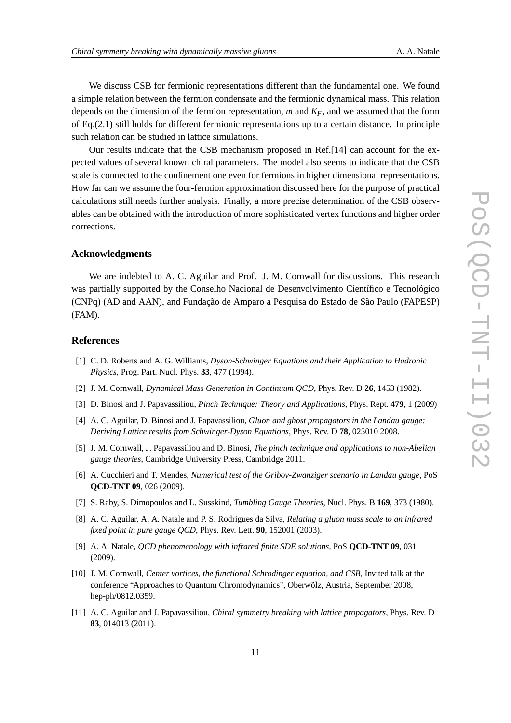We discuss CSB for fermionic representations different than the fundamental one. We found a simple relation between the fermion condensate and the fermionic dynamical mass. This relation depends on the dimension of the fermion representation, *m* and *KF*, and we assumed that the form of Eq.(2.1) still holds for different fermionic representations up to a certain distance. In principle such relation can be studied in lattice simulations.

Our results indicate that the CSB mechanism proposed in Ref.[14] can account for the expected values of several known chiral parameters. The model also seems to indicate that the CSB scale is connected to the confinement one even for fermions in higher dimensional representations. How far can we assume the four-fermion approximation discussed here for the purpose of practical calculations still needs further analysis. Finally, a more precise determination of the CSB observables can be obtained with the introduction of more sophisticated vertex functions and higher order corrections.

## **Acknowledgments**

We are indebted to A. C. Aguilar and Prof. J. M. Cornwall for discussions. This research was partially supported by the Conselho Nacional de Desenvolvimento Científico e Tecnológico (CNPq) (AD and AAN), and Fundação de Amparo a Pesquisa do Estado de São Paulo (FAPESP) (FAM).

#### **References**

- [1] C. D. Roberts and A. G. Williams, *Dyson-Schwinger Equations and their Application to Hadronic Physics*, Prog. Part. Nucl. Phys. **33**, 477 (1994).
- [2] J. M. Cornwall, *Dynamical Mass Generation in Continuum QCD*, Phys. Rev. D **26**, 1453 (1982).
- [3] D. Binosi and J. Papavassiliou, *Pinch Technique: Theory and Applications*, Phys. Rept. **479**, 1 (2009)
- [4] A. C. Aguilar, D. Binosi and J. Papavassiliou, *Gluon and ghost propagators in the Landau gauge: Deriving Lattice results from Schwinger-Dyson Equations*, Phys. Rev. D **78**, 025010 2008.
- [5] J. M. Cornwall, J. Papavassiliou and D. Binosi, *The pinch technique and applications to non-Abelian gauge theories*, Cambridge University Press, Cambridge 2011.
- [6] A. Cucchieri and T. Mendes, *Numerical test of the Gribov-Zwanziger scenario in Landau gauge*, PoS **QCD-TNT 09**, 026 (2009).
- [7] S. Raby, S. Dimopoulos and L. Susskind, *Tumbling Gauge Theories*, Nucl. Phys. B **169**, 373 (1980).
- [8] A. C. Aguilar, A. A. Natale and P. S. Rodrigues da Silva, *Relating a gluon mass scale to an infrared fixed point in pure gauge QCD*, Phys. Rev. Lett. **90**, 152001 (2003).
- [9] A. A. Natale, *QCD phenomenology with infrared finite SDE solutions*, PoS **QCD-TNT 09**, 031 (2009).
- [10] J. M. Cornwall, *Center vortices, the functional Schrodinger equation, and CSB*, Invited talk at the conference "Approaches to Quantum Chromodynamics", Oberwölz, Austria, September 2008, hep-ph/0812.0359.
- [11] A. C. Aguilar and J. Papavassiliou, *Chiral symmetry breaking with lattice propagators*, Phys. Rev. D **83**, 014013 (2011).